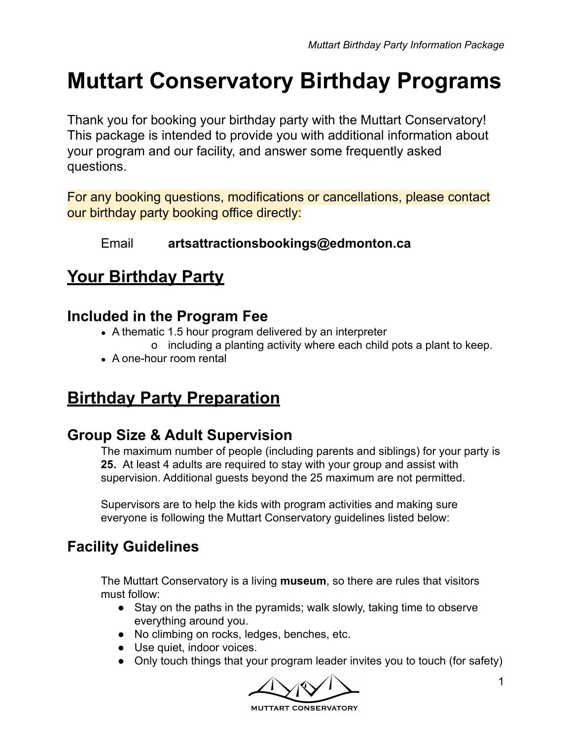# **Muttart Conservatory Birthday Programs**

Thank you for booking your birthday party with the Muttart Conservatory! This package is intended to provide you with additional information about your program and our facility, and answer some frequently asked questions.

For any booking questions, modifications or cancellations, please contact our birthday party booking office directly:

### Email **artsattractionsbookings@edmonton.ca**

# **Your Birthday Party**

### **Included in the Program Fee**

- A thematic 1.5 hour program delivered by an interpreter
	- o including a planting activity where each child pots a plant to keep.
- A one-hour room rental

# **Birthday Party Preparation**

### **Group Size & Adult Supervision**

The maximum number of people (including parents and siblings) for your party is **25.** At least 4 adults are required to stay with your group and assist with supervision. Additional guests beyond the 25 maximum are not permitted.

Supervisors are to help the kids with program activities and making sure everyone is following the Muttart Conservatory guidelines listed below:

### **Facility Guidelines**

The Muttart Conservatory is a living **museum**, so there are rules that visitors must follow:

- Stay on the paths in the pyramids; walk slowly, taking time to observe everything around you.
- No climbing on rocks, ledges, benches, etc.
- Use quiet, indoor voices.
- Only touch things that your program leader invites you to touch (for safety)

**MUTTART CONSERVATORY**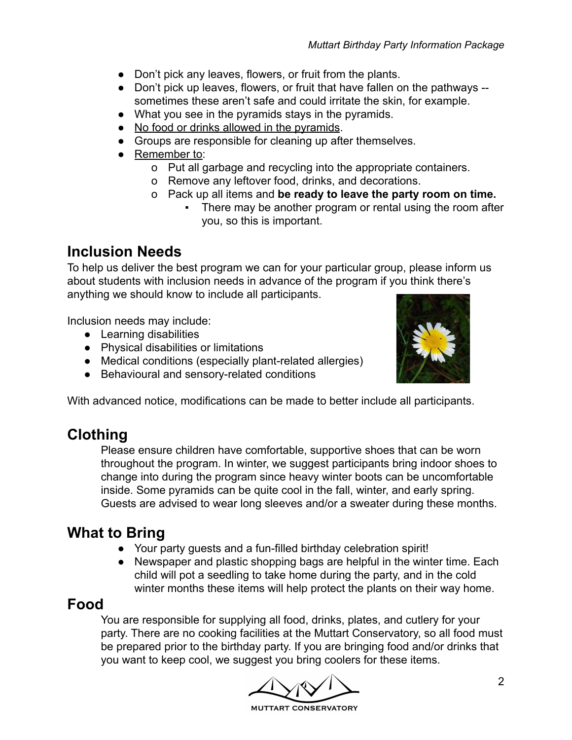- Don't pick any leaves, flowers, or fruit from the plants.
- Don't pick up leaves, flowers, or fruit that have fallen on the pathways sometimes these aren't safe and could irritate the skin, for example.
- What you see in the pyramids stays in the pyramids.
- No food or drinks allowed in the pyramids.
- Groups are responsible for cleaning up after themselves.
- Remember to:
	- o Put all garbage and recycling into the appropriate containers.
	- o Remove any leftover food, drinks, and decorations.
	- o Pack up all items and **be ready to leave the party room on time.**
		- There may be another program or rental using the room after you, so this is important.

### **Inclusion Needs**

To help us deliver the best program we can for your particular group, please inform us about students with inclusion needs in advance of the program if you think there's anything we should know to include all participants.

Inclusion needs may include:

- Learning disabilities
- Physical disabilities or limitations
- Medical conditions (especially plant-related allergies)
- Behavioural and sensory-related conditions



### **Clothing**

Please ensure children have comfortable, supportive shoes that can be worn throughout the program. In winter, we suggest participants bring indoor shoes to change into during the program since heavy winter boots can be uncomfortable inside. Some pyramids can be quite cool in the fall, winter, and early spring. Guests are advised to wear long sleeves and/or a sweater during these months.

### **What to Bring**

- Your party guests and a fun-filled birthday celebration spirit!
- Newspaper and plastic shopping bags are helpful in the winter time. Each child will pot a seedling to take home during the party, and in the cold winter months these items will help protect the plants on their way home.

### **Food**

You are responsible for supplying all food, drinks, plates, and cutlery for your party. There are no cooking facilities at the Muttart Conservatory, so all food must be prepared prior to the birthday party. If you are bringing food and/or drinks that you want to keep cool, we suggest you bring coolers for these items.

**MUTTART CONSERVATORY** 

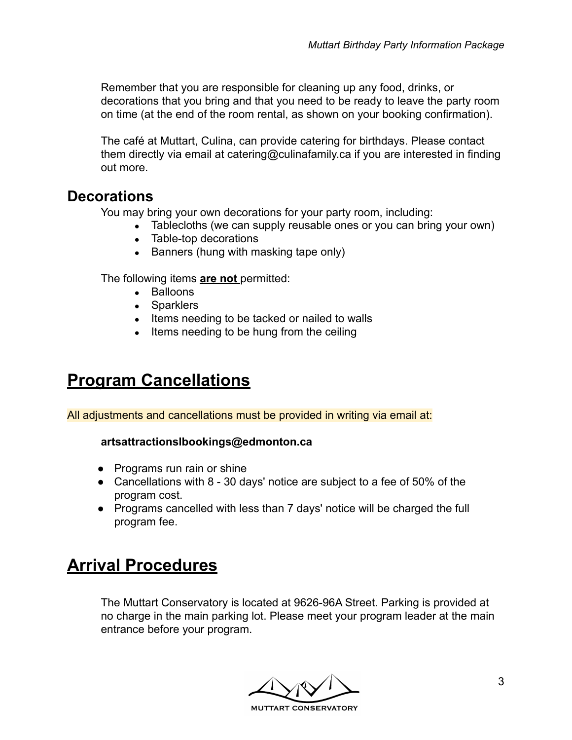Remember that you are responsible for cleaning up any food, drinks, or decorations that you bring and that you need to be ready to leave the party room on time (at the end of the room rental, as shown on your booking confirmation).

The café at Muttart, Culina, can provide catering for birthdays. Please contact them directly via email at catering@culinafamily.ca if you are interested in finding out more.

### **Decorations**

You may bring your own decorations for your party room, including:

- Tablecloths (we can supply reusable ones or you can bring your own)
- Table-top decorations
- Banners (hung with masking tape only)

The following items **are not** permitted:

- Balloons
- Sparklers
- Items needing to be tacked or nailed to walls
- Items needing to be hung from the ceiling

# **Program Cancellations**

All adjustments and cancellations must be provided in writing via email at:

#### **artsattractionslbookings@edmonton.ca**

- Programs run rain or shine
- Cancellations with 8 30 days' notice are subject to a fee of 50% of the program cost.
- Programs cancelled with less than 7 days' notice will be charged the full program fee.

# **Arrival Procedures**

The Muttart Conservatory is located at 9626-96A Street. Parking is provided at no charge in the main parking lot. Please meet your program leader at the main entrance before your program.

**MUTTART CONSERVATORY**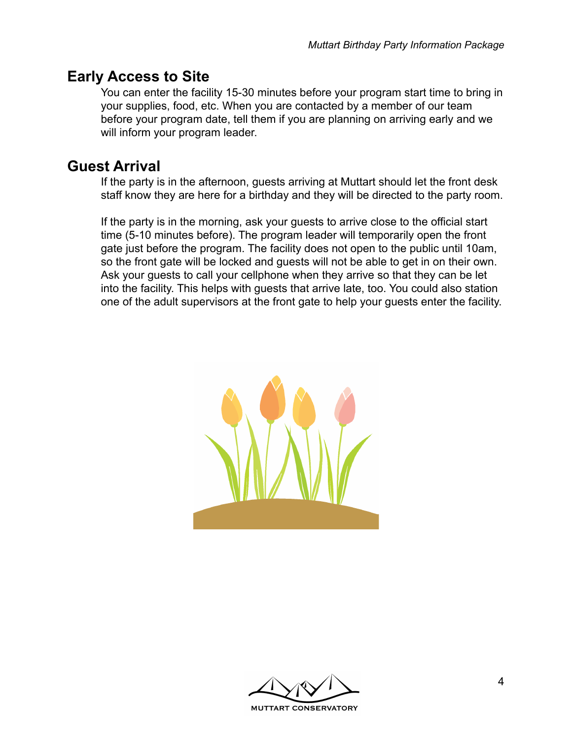### **Early Access to Site**

You can enter the facility 15-30 minutes before your program start time to bring in your supplies, food, etc. When you are contacted by a member of our team before your program date, tell them if you are planning on arriving early and we will inform your program leader.

### **Guest Arrival**

If the party is in the afternoon, guests arriving at Muttart should let the front desk staff know they are here for a birthday and they will be directed to the party room.

If the party is in the morning, ask your guests to arrive close to the official start time (5-10 minutes before). The program leader will temporarily open the front gate just before the program. The facility does not open to the public until 10am, so the front gate will be locked and guests will not be able to get in on their own. Ask your guests to call your cellphone when they arrive so that they can be let into the facility. This helps with guests that arrive late, too. You could also station one of the adult supervisors at the front gate to help your guests enter the facility.



**MUTTART CONSERVATORY**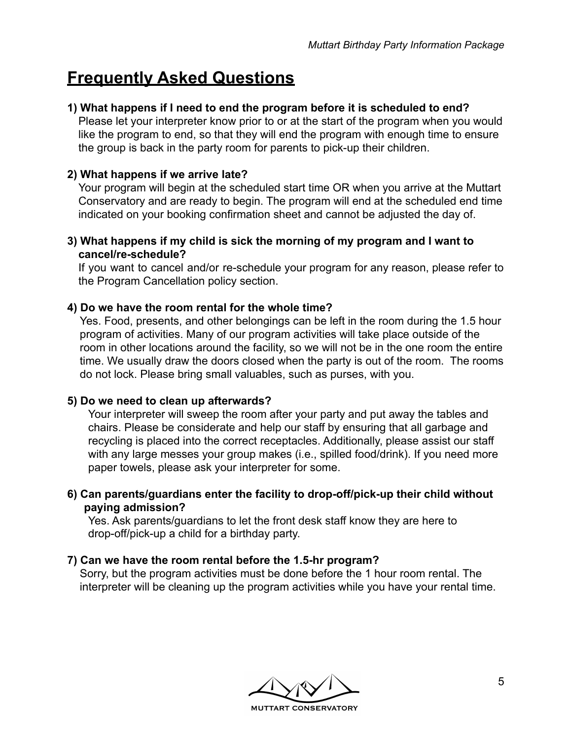# **Frequently Asked Questions**

#### **1) What happens if I need to end the program before it is scheduled to end?**

Please let your interpreter know prior to or at the start of the program when you would like the program to end, so that they will end the program with enough time to ensure the group is back in the party room for parents to pick-up their children.

#### **2) What happens if we arrive late?**

Your program will begin at the scheduled start time OR when you arrive at the Muttart Conservatory and are ready to begin. The program will end at the scheduled end time indicated on your booking confirmation sheet and cannot be adjusted the day of.

**3) What happens if my child is sick the morning of my program and I want to cancel/re-schedule?**

If you want to cancel and/or re-schedule your program for any reason, please refer to the Program Cancellation policy section.

#### **4) Do we have the room rental for the whole time?**

Yes. Food, presents, and other belongings can be left in the room during the 1.5 hour program of activities. Many of our program activities will take place outside of the room in other locations around the facility, so we will not be in the one room the entire time. We usually draw the doors closed when the party is out of the room. The rooms do not lock. Please bring small valuables, such as purses, with you.

#### **5) Do we need to clean up afterwards?**

Your interpreter will sweep the room after your party and put away the tables and chairs. Please be considerate and help our staff by ensuring that all garbage and recycling is placed into the correct receptacles. Additionally, please assist our staff with any large messes your group makes (i.e., spilled food/drink). If you need more paper towels, please ask your interpreter for some.

**6) Can parents/guardians enter the facility to drop-off/pick-up their child without paying admission?**

Yes. Ask parents/guardians to let the front desk staff know they are here to drop-off/pick-up a child for a birthday party.

#### **7) Can we have the room rental before the 1.5-hr program?**

Sorry, but the program activities must be done before the 1 hour room rental. The interpreter will be cleaning up the program activities while you have your rental time.

**MUTTART CONSERVATORY**